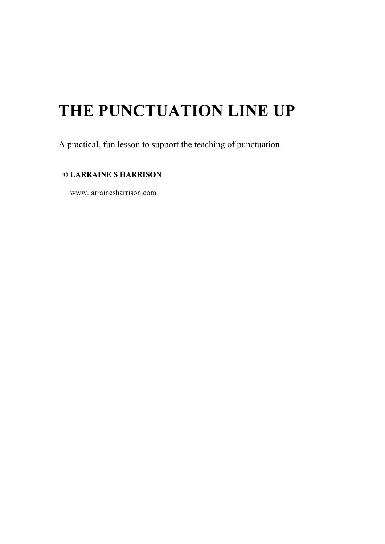# **THE PUNCTUATION LINE UP**

A practical, fun lesson to support the teaching of punctuation

### **© LARRAINE S HARRISON**

www.larrainesharrison.com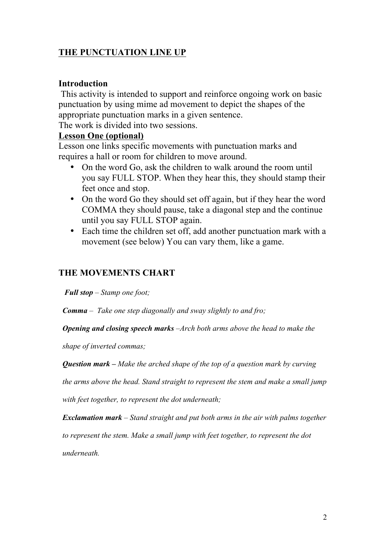# **THE PUNCTUATION LINE UP**

## **Introduction**

This activity is intended to support and reinforce ongoing work on basic punctuation by using mime ad movement to depict the shapes of the appropriate punctuation marks in a given sentence.

The work is divided into two sessions.

#### **Lesson One (optional)**

Lesson one links specific movements with punctuation marks and requires a hall or room for children to move around.

- On the word Go, ask the children to walk around the room until you say FULL STOP. When they hear this, they should stamp their feet once and stop.
- On the word Go they should set off again, but if they hear the word COMMA they should pause, take a diagonal step and the continue until you say FULL STOP again.
- Each time the children set off, add another punctuation mark with a movement (see below) You can vary them, like a game.

## **THE MOVEMENTS CHART**

*Full stop – Stamp one foot;* 

*Comma – Take one step diagonally and sway slightly to and fro;* 

*Opening and closing speech marks –Arch both arms above the head to make the* 

*shape of inverted commas;*

*Question mark – Make the arched shape of the top of a question mark by curving* 

*the arms above the head. Stand straight to represent the stem and make a small jump* 

*with feet together, to represent the dot underneath;*

*Exclamation mark – Stand straight and put both arms in the air with palms together*

*to represent the stem. Make a small jump with feet together, to represent the dot* 

*underneath.*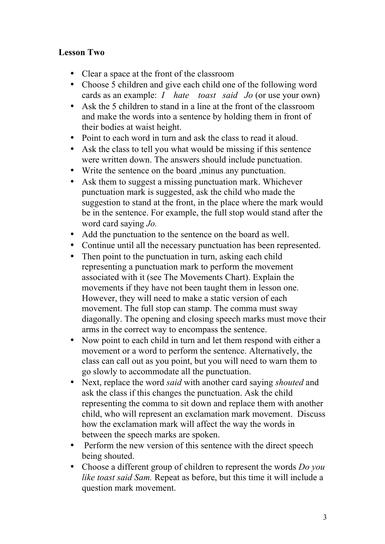## **Lesson Two**

- Clear a space at the front of the classroom
- Choose 5 children and give each child one of the following word cards as an example: *I hate toast said Jo* (or use your own)
- Ask the 5 children to stand in a line at the front of the classroom and make the words into a sentence by holding them in front of their bodies at waist height.
- Point to each word in turn and ask the class to read it aloud.
- Ask the class to tell you what would be missing if this sentence were written down. The answers should include punctuation.
- Write the sentence on the board ,minus any punctuation.
- Ask them to suggest a missing punctuation mark. Whichever punctuation mark is suggested, ask the child who made the suggestion to stand at the front, in the place where the mark would be in the sentence. For example, the full stop would stand after the word card saying *Jo.*
- Add the punctuation to the sentence on the board as well.
- Continue until all the necessary punctuation has been represented.
- Then point to the punctuation in turn, asking each child representing a punctuation mark to perform the movement associated with it (see The Movements Chart). Explain the movements if they have not been taught them in lesson one. However, they will need to make a static version of each movement. The full stop can stamp. The comma must sway diagonally. The opening and closing speech marks must move their arms in the correct way to encompass the sentence.
- Now point to each child in turn and let them respond with either a movement or a word to perform the sentence. Alternatively, the class can call out as you point, but you will need to warn them to go slowly to accommodate all the punctuation.
- Next, replace the word *said* with another card saying *shouted* and ask the class if this changes the punctuation. Ask the child representing the comma to sit down and replace them with another child, who will represent an exclamation mark movement. Discuss how the exclamation mark will affect the way the words in between the speech marks are spoken.
- Perform the new version of this sentence with the direct speech being shouted.
- Choose a different group of children to represent the words *Do you like toast said Sam.* Repeat as before, but this time it will include a question mark movement.